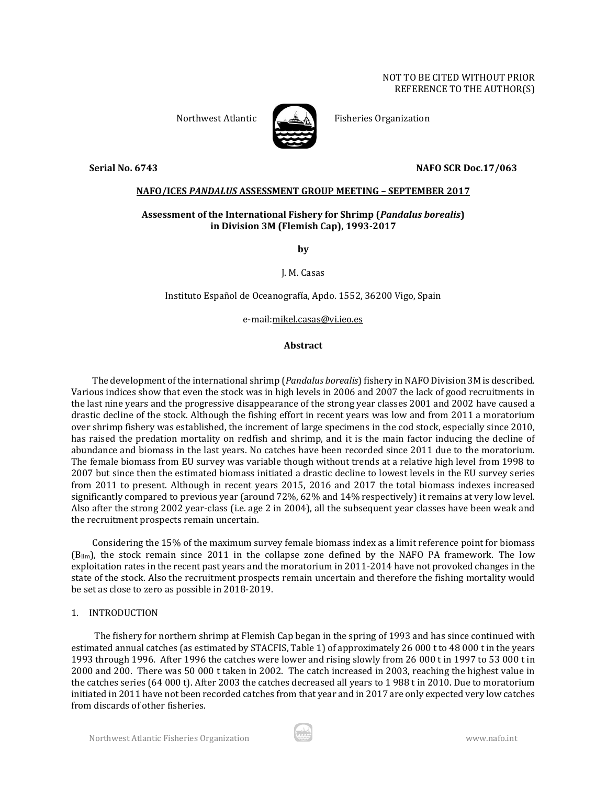#### NOT TO BE CITED WITHOUT PRIOR REFERENCE TO THE AUTHOR(S)



Northwest Atlantic Fisheries Organization

#### **Serial No. 6743 NAFO SCR Doc.17/063**

#### **NAFO/ICES** *PANDALUS* **ASSESSMENT GROUP MEETING – SEPTEMBER 2017**

## **Assessment of the International Fishery for Shrimp (***Pandalus borealis***) in Division 3M (Flemish Cap), 1993-2017**

**by**

J. M. Casas

Instituto Español de Oceanografía, Apdo. 1552, 36200 Vigo, Spain

e-mail:mikel.casas@vi.ieo.es

### **Abstract**

The development of the international shrimp (*Pandalus borealis*) fishery in NAFO Division 3M is described. Various indices show that even the stock was in high levels in 2006 and 2007 the lack of good recruitments in the last nine years and the progressive disappearance of the strong year classes 2001 and 2002 have caused a drastic decline of the stock. Although the fishing effort in recent years was low and from 2011 a moratorium over shrimp fishery was established, the increment of large specimens in the cod stock, especially since 2010, has raised the predation mortality on redfish and shrimp, and it is the main factor inducing the decline of abundance and biomass in the last years. No catches have been recorded since 2011 due to the moratorium. The female biomass from EU survey was variable though without trends at a relative high level from 1998 to 2007 but since then the estimated biomass initiated a drastic decline to lowest levels in the EU survey series from 2011 to present. Although in recent years 2015, 2016 and 2017 the total biomass indexes increased significantly compared to previous year (around 72%, 62% and 14% respectively) it remains at very low level. Also after the strong 2002 year-class (i.e. age 2 in 2004), all the subsequent year classes have been weak and the recruitment prospects remain uncertain.

Considering the 15% of the maximum survey female biomass index as a limit reference point for biomass (Blim), the stock remain since 2011 in the collapse zone defined by the NAFO PA framework. The low exploitation rates in the recent past years and the moratorium in 2011-2014 have not provoked changes in the state of the stock. Also the recruitment prospects remain uncertain and therefore the fishing mortality would be set as close to zero as possible in 2018-2019.

### 1. INTRODUCTION

The fishery for northern shrimp at Flemish Cap began in the spring of 1993 and has since continued with estimated annual catches (as estimated by STACFIS, Table 1) of approximately 26 000 t to 48 000 t in the years 1993 through 1996. After 1996 the catches were lower and rising slowly from 26 000 t in 1997 to 53 000 t in 2000 and 200. There was 50 000 t taken in 2002. The catch increased in 2003, reaching the highest value in the catches series (64 000 t). After 2003 the catches decreased all years to 1 988 t in 2010. Due to moratorium initiated in 2011 have not been recorded catches from that year and in 2017 are only expected very low catches from discards of other fisheries.

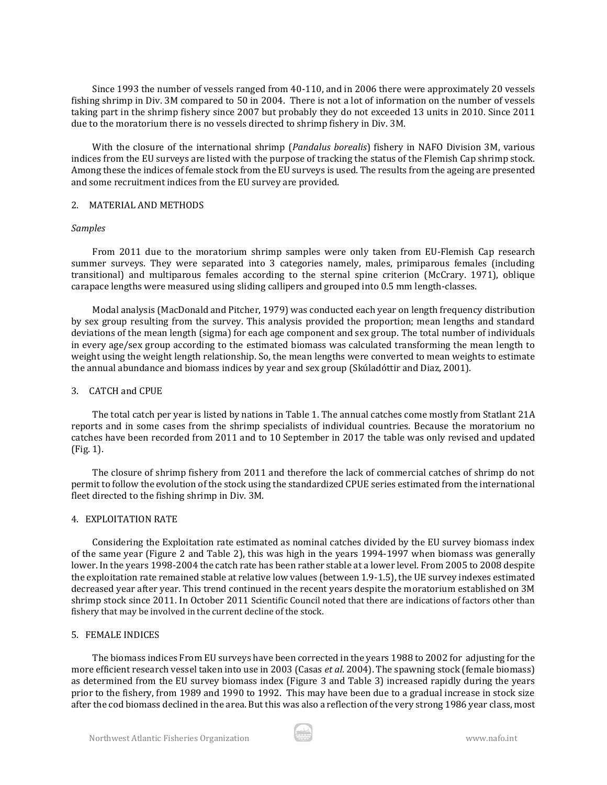Since 1993 the number of vessels ranged from 40-110, and in 2006 there were approximately 20 vessels fishing shrimp in Div. 3M compared to 50 in 2004. There is not a lot of information on the number of vessels taking part in the shrimp fishery since 2007 but probably they do not exceeded 13 units in 2010. Since 2011 due to the moratorium there is no vessels directed to shrimp fishery in Div. 3M.

With the closure of the international shrimp (*Pandalus borealis*) fishery in NAFO Division 3M, various indices from the EU surveys are listed with the purpose of tracking the status of the Flemish Cap shrimp stock. Among these the indices of female stock from the EU surveys is used. The results from the ageing are presented and some recruitment indices from the EU survey are provided.

#### 2. MATERIAL AND METHODS

#### *Samples*

From 2011 due to the moratorium shrimp samples were only taken from EU-Flemish Cap research summer surveys. They were separated into 3 categories namely, males, primiparous females (including transitional) and multiparous females according to the sternal spine criterion (McCrary. 1971), oblique carapace lengths were measured using sliding callipers and grouped into 0.5 mm length-classes.

Modal analysis (MacDonald and Pitcher, 1979) was conducted each year on length frequency distribution by sex group resulting from the survey. This analysis provided the proportion; mean lengths and standard deviations of the mean length (sigma) for each age component and sex group. The total number of individuals in every age/sex group according to the estimated biomass was calculated transforming the mean length to weight using the weight length relationship. So, the mean lengths were converted to mean weights to estimate the annual abundance and biomass indices by year and sex group (Skúladóttir and Diaz, 2001).

#### 3. CATCH and CPUE

The total catch per year is listed by nations in Table 1. The annual catches come mostly from Statlant 21A reports and in some cases from the shrimp specialists of individual countries. Because the moratorium no catches have been recorded from 2011 and to 10 September in 2017 the table was only revised and updated (Fig. 1).

The closure of shrimp fishery from 2011 and therefore the lack of commercial catches of shrimp do not permit to follow the evolution of the stock using the standardized CPUE series estimated from the international fleet directed to the fishing shrimp in Div. 3M.

### 4. EXPLOITATION RATE

Considering the Exploitation rate estimated as nominal catches divided by the EU survey biomass index of the same year (Figure 2 and Table 2), this was high in the years 1994-1997 when biomass was generally lower. In the years 1998-2004 the catch rate has been rather stable at a lower level. From 2005 to 2008 despite the exploitation rate remained stable at relative low values (between 1.9-1.5), the UE survey indexes estimated decreased year after year. This trend continued in the recent years despite the moratorium established on 3M shrimp stock since 2011. In October 2011 Scientific Council noted that there are indications of factors other than fishery that may be involved in the current decline of the stock.

### 5. FEMALE INDICES

The biomass indices From EU surveys have been corrected in the years 1988 to 2002 for adjusting for the more efficient research vessel taken into use in 2003 (Casas *et al*. 2004). The spawning stock (female biomass) as determined from the EU survey biomass index (Figure 3 and Table 3) increased rapidly during the years prior to the fishery, from 1989 and 1990 to 1992. This may have been due to a gradual increase in stock size after the cod biomass declined in the area. But this was also a reflection of the very strong 1986 year class, most

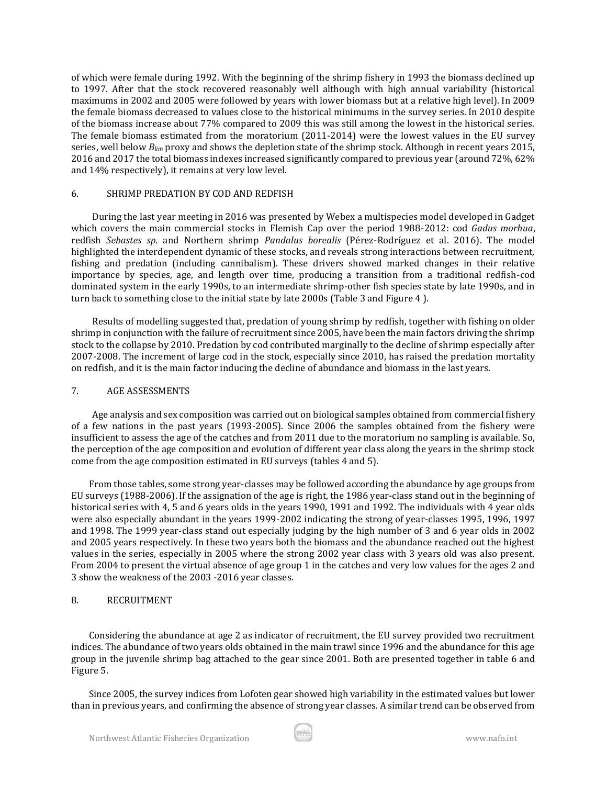of which were female during 1992. With the beginning of the shrimp fishery in 1993 the biomass declined up to 1997. After that the stock recovered reasonably well although with high annual variability (historical maximums in 2002 and 2005 were followed by years with lower biomass but at a relative high level). In 2009 the female biomass decreased to values close to the historical minimums in the survey series. In 2010 despite of the biomass increase about 77% compared to 2009 this was still among the lowest in the historical series. The female biomass estimated from the moratorium (2011-2014) were the lowest values in the EU survey series, well below *Blim* proxy and shows the depletion state of the shrimp stock. Although in recent years 2015, 2016 and 2017 the total biomass indexes increased significantly compared to previous year (around 72%, 62% and 14% respectively), it remains at very low level.

#### 6. SHRIMP PREDATION BY COD AND REDFISH

During the last year meeting in 2016 was presented by Webex a multispecies model developed in Gadget which covers the main commercial stocks in Flemish Cap over the period 1988-2012: cod *Gadus morhua*, redfish *Sebastes sp*. and Northern shrimp *Pandalus borealis* (Pérez-Rodríguez et al. 2016). The model highlighted the interdependent dynamic of these stocks, and reveals strong interactions between recruitment, fishing and predation (including cannibalism). These drivers showed marked changes in their relative importance by species, age, and length over time, producing a transition from a traditional redfish-cod dominated system in the early 1990s, to an intermediate shrimp-other fish species state by late 1990s, and in turn back to something close to the initial state by late 2000s (Table 3 and Figure 4 ).

Results of modelling suggested that, predation of young shrimp by redfish, together with fishing on older shrimp in conjunction with the failure of recruitment since 2005, have been the main factors driving the shrimp stock to the collapse by 2010. Predation by cod contributed marginally to the decline of shrimp especially after 2007-2008. The increment of large cod in the stock, especially since 2010, has raised the predation mortality on redfish, and it is the main factor inducing the decline of abundance and biomass in the last years.

#### 7. AGE ASSESSMENTS

Age analysis and sex composition was carried out on biological samples obtained from commercial fishery of a few nations in the past years (1993-2005). Since 2006 the samples obtained from the fishery were insufficient to assess the age of the catches and from 2011 due to the moratorium no sampling is available. So, the perception of the age composition and evolution of different year class along the years in the shrimp stock come from the age composition estimated in EU surveys (tables 4 and 5).

From those tables, some strong year-classes may be followed according the abundance by age groups from EU surveys (1988-2006). If the assignation of the age is right, the 1986 year-class stand out in the beginning of historical series with 4, 5 and 6 years olds in the years 1990, 1991 and 1992. The individuals with 4 year olds were also especially abundant in the years 1999-2002 indicating the strong of year-classes 1995, 1996, 1997 and 1998. The 1999 year-class stand out especially judging by the high number of 3 and 6 year olds in 2002 and 2005 years respectively. In these two years both the biomass and the abundance reached out the highest values in the series, especially in 2005 where the strong 2002 year class with 3 years old was also present. From 2004 to present the virtual absence of age group 1 in the catches and very low values for the ages 2 and 3 show the weakness of the 2003 -2016 year classes.

# 8. RECRUITMENT

Considering the abundance at age 2 as indicator of recruitment, the EU survey provided two recruitment indices. The abundance of two years olds obtained in the main trawl since 1996 and the abundance for this age group in the juvenile shrimp bag attached to the gear since 2001. Both are presented together in table 6 and Figure 5.

Since 2005, the survey indices from Lofoten gear showed high variability in the estimated values but lower than in previous years, and confirming the absence of strong year classes. A similar trend can be observed from

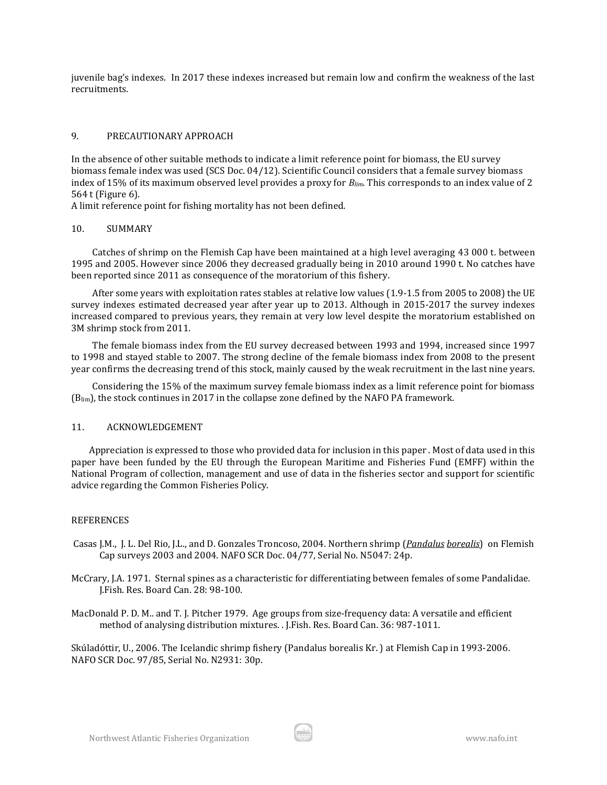juvenile bag's indexes. In 2017 these indexes increased but remain low and confirm the weakness of the last recruitments.

# 9. PRECAUTIONARY APPROACH

In the absence of other suitable methods to indicate a limit reference point for biomass, the EU survey biomass female index was used (SCS Doc. 04/12). Scientific Council considers that a female survey biomass index of 15% of its maximum observed level provides a proxy for *Blim*. This corresponds to an index value of 2 564 t (Figure 6).

A limit reference point for fishing mortality has not been defined.

### 10. SUMMARY

Catches of shrimp on the Flemish Cap have been maintained at a high level averaging 43 000 t. between 1995 and 2005. However since 2006 they decreased gradually being in 2010 around 1990 t. No catches have been reported since 2011 as consequence of the moratorium of this fishery.

After some years with exploitation rates stables at relative low values (1.9-1.5 from 2005 to 2008) the UE survey indexes estimated decreased year after year up to 2013. Although in 2015-2017 the survey indexes increased compared to previous years, they remain at very low level despite the moratorium established on 3M shrimp stock from 2011.

The female biomass index from the EU survey decreased between 1993 and 1994, increased since 1997 to 1998 and stayed stable to 2007. The strong decline of the female biomass index from 2008 to the present year confirms the decreasing trend of this stock, mainly caused by the weak recruitment in the last nine years.

Considering the 15% of the maximum survey female biomass index as a limit reference point for biomass (Blim), the stock continues in 2017 in the collapse zone defined by the NAFO PA framework.

### 11. ACKNOWLEDGEMENT

Appreciation is expressed to those who provided data for inclusion in this paper . Most of data used in this paper have been funded by the EU through the European Maritime and Fisheries Fund (EMFF) within the National Program of collection, management and use of data in the fisheries sector and support for scientific advice regarding the Common Fisheries Policy.

#### REFERENCES

Casas J.M., J. L. Del Rio, J.L., and D. Gonzales Troncoso, 2004. Northern shrimp (*Pandalus borealis*) on Flemish Cap surveys 2003 and 2004. NAFO SCR Doc. 04/77, Serial No. N5047: 24p.

McCrary, J.A. 1971. Sternal spines as a characteristic for differentiating between females of some Pandalidae. J.Fish. Res. Board Can. 28: 98-100.

MacDonald P. D. M.. and T. J. Pitcher 1979. Age groups from size-frequency data: A versatile and efficient method of analysing distribution mixtures. . J.Fish. Res. Board Can. 36: 987-1011.

Skúladóttir, U., 2006. The Icelandic shrimp fishery (Pandalus borealis Kr. ) at Flemish Cap in 1993-2006. NAFO SCR Doc. 97/85, Serial No. N2931: 30p.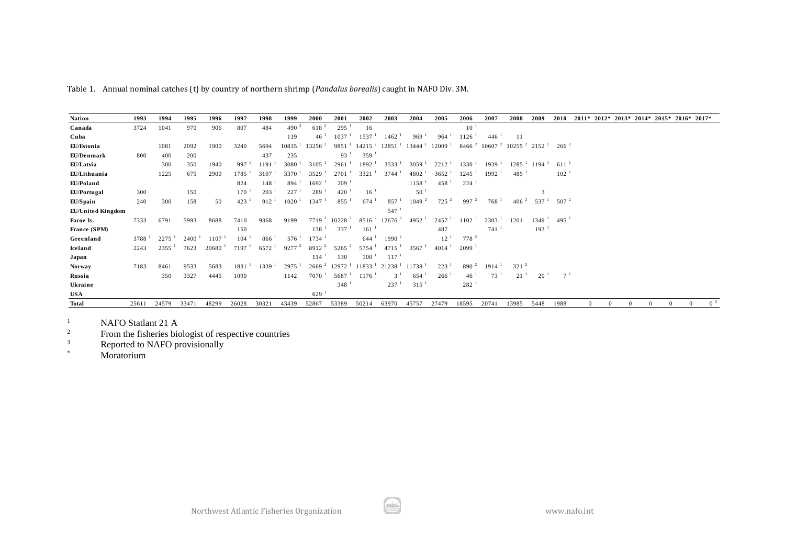| Table 1. Annual nominal catches (t) by country of northern shrimp ( <i>Pandalus borealis</i> ) caught in NAFO Div. 3M. |                   |       |          |                     |                     |                   |                      |                     |                      |                             |                     |                      |                      |                     |                                               |           |                  |                |          |                      |                           |          |              |                |
|------------------------------------------------------------------------------------------------------------------------|-------------------|-------|----------|---------------------|---------------------|-------------------|----------------------|---------------------|----------------------|-----------------------------|---------------------|----------------------|----------------------|---------------------|-----------------------------------------------|-----------|------------------|----------------|----------|----------------------|---------------------------|----------|--------------|----------------|
|                                                                                                                        |                   |       |          |                     |                     |                   |                      |                     |                      |                             |                     |                      |                      |                     |                                               |           |                  |                |          |                      |                           |          |              |                |
| <b>Nation</b>                                                                                                          | 1993              | 1994  | 1995     | 1996                | 1997                | 1998              | 1999                 | 2000                | 2001                 | 2002                        | 2003                | 2004                 | 2005                 | 2006                | 2007                                          | 2008      | 2009             | 2010           | $2011*$  |                      | $2012* 2013* 2014* 2015*$ |          | $2016*2017*$ |                |
| Canada                                                                                                                 | 3724              | 1041  | 970      | 906                 | 807                 | 484               | $490^{2}$            | $618^{2}$           | 295 <sup>1</sup>     | 16                          |                     |                      |                      | $10-1$              |                                               |           |                  |                |          |                      |                           |          |              |                |
| Cuba                                                                                                                   |                   |       |          |                     |                     |                   | 119                  | 46 <sup>1</sup>     | 1037                 | 1537 <sup>1</sup>           | 1462                | 969                  | 964                  | 1126                | 446                                           | 11        |                  |                |          |                      |                           |          |              |                |
| EU/Estonia                                                                                                             |                   | 1081  | 2092     | 1900                | 3240                | 5694              | $10835$ <sup>1</sup> | $13256^2$           | 9851 <sup>1</sup>    | $142152$ 12851 <sup>1</sup> |                     | $13444$ <sup>1</sup> | $12009-1$            | $8466^{2}$          | $106072$ 10255 <sup>2</sup> 2152 <sup>2</sup> |           |                  | $266^{2}$      |          |                      |                           |          |              |                |
| EU/Denmark                                                                                                             | 800               | 400   | 200      |                     |                     | 437               | 235                  |                     | 93 <sup>1</sup>      | 359                         |                     |                      |                      |                     |                                               |           |                  |                |          |                      |                           |          |              |                |
| EU/Latvia                                                                                                              |                   | 300   | 350      | 1940                | 997 <sup>1</sup>    | 1191              | $3080^{-1}$          | $3105$ <sup>1</sup> | 2961                 | $1892-1$                    | 3533 <sup>1</sup>   | 3059 <sup>1</sup>    | 2212 <sup>1</sup>    | $1330-1$            | 1939 <sup>1</sup>                             |           | $12851$ 1194     | $611^{-1}$     |          |                      |                           |          |              |                |
| EU/Lithuania                                                                                                           |                   | 1225  | 675      | 2900                | $1785$ <sup>1</sup> | 3107              | $3370^1$             | 3529                | 2701                 | 3321 <sup>1</sup>           | 3744                | 4802                 | $3652^{\frac{1}{2}}$ | 1245                | $1992$ <sup>1</sup>                           | 485       |                  | 102            |          |                      |                           |          |              |                |
| EU/Poland                                                                                                              |                   |       |          |                     | 824                 | 148               | 894                  | 1692                | $209-1$              |                             |                     | 1158                 | $458-1$              | 224                 |                                               |           |                  |                |          |                      |                           |          |              |                |
| EU/Portugal                                                                                                            | 300               |       | 150      |                     | 170                 | 203               | 227                  | 289                 | $420^{-1}$           | $16^{-1}$                   |                     | 50                   |                      |                     |                                               |           | 3                |                |          |                      |                           |          |              |                |
| EU/Spain                                                                                                               | 240               | 300   | 158      | 50                  | 423 <sup>1</sup>    | 912 <sup>1</sup>  | $1020$ <sup>1</sup>  | 1347                | $855-1$              | $674$ <sup>1</sup>          | 857                 | 1049 <sup>2</sup>    | $725$ $^{2}$         | 997 <sup>2</sup>    | 768 <sup>1</sup>                              | $406^{2}$ | 537 <sup>1</sup> | $507^{2}$      |          |                      |                           |          |              |                |
| EU/United Kingdom                                                                                                      |                   |       |          |                     |                     |                   |                      |                     |                      |                             | 547 <sup>1</sup>    |                      |                      |                     |                                               |           |                  |                |          |                      |                           |          |              |                |
| Faroe Is.                                                                                                              | 7333              | 6791  | 5993     | 8688                | 7410                | 9368              | 9199                 | 7719 <sup>2</sup>   | $10228$ $^{2}$       | 8516 <sup>2</sup>           | $12676$ $^{2}$      | 4952                 | 2457 <sup>1</sup>    | $1102-1$            | $2303-1$                                      | 1201      | $1349-1$         | 495            |          |                      |                           |          |              |                |
| France (SPM)                                                                                                           |                   |       |          |                     | 150                 |                   |                      | $138-1$             | 337 <sup>1</sup>     | 161                         |                     |                      | 487                  |                     | 741                                           |           | 193              |                |          |                      |                           |          |              |                |
| Greenland                                                                                                              | 3788 <sup>1</sup> | 2275  | $2400-1$ | $1107$ <sup>1</sup> | $104^{-1}$          | 866 <sup>1</sup>  | 576 <sup>1</sup>     | 1734                |                      | $644$ <sup>1</sup>          | 1990 <sup>2</sup>   |                      | $12^{-1}$            | 778 <sup>2</sup>    |                                               |           |                  |                |          |                      |                           |          |              |                |
| Iceland                                                                                                                | 2243              | 2355  | 7623     | $20680^{-1}$        | 7197 <sup>1</sup>   | 6572 <sup>1</sup> | $9277$ $^{2}$        | $8912^2$            | $5265^{2}$           | $5754$ <sup>1</sup>         | $4715$ <sup>1</sup> | 3567                 | $4014$ <sup>1</sup>  | $2099$ <sup>1</sup> |                                               |           |                  |                |          |                      |                           |          |              |                |
| Japan                                                                                                                  |                   |       |          |                     |                     |                   |                      | 114                 | 130                  | $100^{-1}$                  | $117^{-1}$          |                      |                      |                     |                                               |           |                  |                |          |                      |                           |          |              |                |
| <b>Norway</b>                                                                                                          | 7183              | 8461  | 9533     | 5683                | 1831                | $1339-1$          | $2975$ <sup>1</sup>  | 2669 <sup>2</sup>   | $12972$ <sup>1</sup> | $11833^{\frac{1}{2}}$       | $21238-1$           | 11738                | $223-1$              | $890^2$             | 1914                                          | $321^{2}$ |                  |                |          |                      |                           |          |              |                |
| Russia                                                                                                                 |                   | 350   | 3327     | 4445                | 1090                |                   | 1142                 | 7070                | 5687 <sup>1</sup>    | 1176                        | 3 <sup>1</sup>      | 654                  | 266 <sup>1</sup>     | 46 <sup>1</sup>     | 73 <sup>1</sup>                               | $21^{-1}$ | $20^{-1}$        | 7 <sup>1</sup> |          |                      |                           |          |              |                |
| Ukraine                                                                                                                |                   |       |          |                     |                     |                   |                      |                     | $348$ <sup>1</sup>   |                             | 237                 | 315                  |                      | $282$ <sup>1</sup>  |                                               |           |                  |                |          |                      |                           |          |              |                |
| <b>USA</b>                                                                                                             |                   |       |          |                     |                     |                   |                      | $629$ <sup>1</sup>  |                      |                             |                     |                      |                      |                     |                                               |           |                  |                |          |                      |                           |          |              |                |
| <b>Total</b>                                                                                                           | 25611             | 24579 | 33471    | 48299               | 26028               | 3032              | 43439                | 52867               | 53389                | 50214                       | 63970               | 45757                | 27479                | 18595               | 20741                                         | 13985     | 5448             | 1988           | $\Omega$ | $\Omega$<br>$\Omega$ | $\Omega$                  | $\Omega$ | $\Omega$     | 0 <sup>3</sup> |

<sup>1</sup> NAFO Statlant 21 A<br><sup>2</sup> From the fisheries big

 $\frac{2}{3}$  From the fisheries biologist of respective countries<br>Reported to NAFO provisionally

 $R_{\text{epted}}$  to NAFO provisionally

Moratorium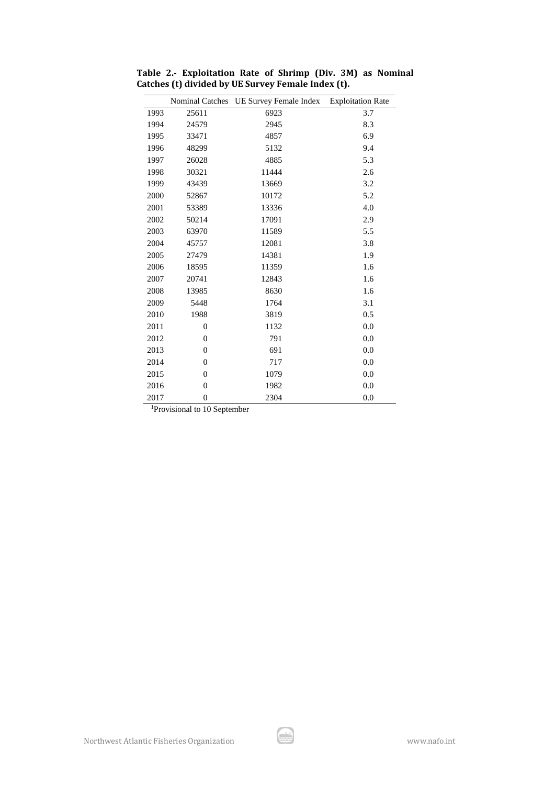|      | <b>Nominal Catches</b> | UE Survey Female Index | <b>Exploitation Rate</b> |
|------|------------------------|------------------------|--------------------------|
| 1993 | 25611                  | 6923                   | 3.7                      |
| 1994 | 24579                  | 2945                   | 8.3                      |
| 1995 | 33471                  | 4857                   | 6.9                      |
| 1996 | 48299                  | 5132                   | 9.4                      |
| 1997 | 26028                  | 4885                   | 5.3                      |
| 1998 | 30321                  | 11444                  | 2.6                      |
| 1999 | 43439                  | 13669                  | 3.2                      |
| 2000 | 52867                  | 10172                  | 5.2                      |
| 2001 | 53389                  | 13336                  | 4.0                      |
| 2002 | 50214                  | 17091                  | 2.9                      |
| 2003 | 63970                  | 11589                  | 5.5                      |
| 2004 | 45757                  | 12081                  | 3.8                      |
| 2005 | 27479                  | 14381                  | 1.9                      |
| 2006 | 18595                  | 11359                  | 1.6                      |
| 2007 | 20741                  | 12843                  | 1.6                      |
| 2008 | 13985                  | 8630                   | 1.6                      |
| 2009 | 5448                   | 1764                   | 3.1                      |
| 2010 | 1988                   | 3819                   | 0.5                      |
| 2011 | $\overline{0}$         | 1132                   | 0.0                      |
| 2012 | $\overline{0}$         | 791                    | 0.0                      |
| 2013 | $\overline{0}$         | 691                    | 0.0                      |
| 2014 | $\theta$               | 717                    | 0.0                      |
| 2015 | $\theta$               | 1079                   | 0.0                      |
| 2016 | $\overline{0}$         | 1982                   | 0.0                      |
| 2017 | $\overline{0}$         | 2304                   | 0.0                      |

**Table 2.- Exploitation Rate of Shrimp (Div. 3M) as Nominal Catches (t) divided by UE Survey Female Index (t).** 

<sup>1</sup>Provisional to 10 September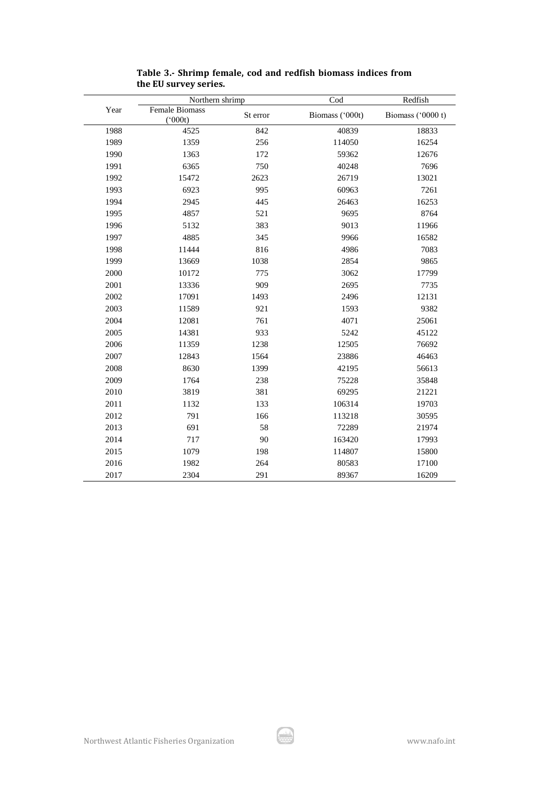|      | Northern shrimp                |          | Cod             | Redfish           |
|------|--------------------------------|----------|-----------------|-------------------|
| Year | Female Biomass<br>$(^{o}000t)$ | St error | Biomass ('000t) | Biomass ('0000 t) |
| 1988 | 4525                           | 842      | 40839           | 18833             |
| 1989 | 1359                           | 256      | 114050          | 16254             |
| 1990 | 1363                           | 172      | 59362           | 12676             |
| 1991 | 6365                           | 750      | 40248           | 7696              |
| 1992 | 15472                          | 2623     | 26719           | 13021             |
| 1993 | 6923                           | 995      | 60963           | 7261              |
| 1994 | 2945                           | 445      | 26463           | 16253             |
| 1995 | 4857                           | 521      | 9695            | 8764              |
| 1996 | 5132                           | 383      | 9013            | 11966             |
| 1997 | 4885                           | 345      | 9966            | 16582             |
| 1998 | 11444                          | 816      | 4986            | 7083              |
| 1999 | 13669                          | 1038     | 2854            | 9865              |
| 2000 | 10172                          | 775      | 3062            | 17799             |
| 2001 | 13336                          | 909      | 2695            | 7735              |
| 2002 | 17091                          | 1493     | 2496            | 12131             |
| 2003 | 11589                          | 921      | 1593            | 9382              |
| 2004 | 12081                          | 761      | 4071            | 25061             |
| 2005 | 14381                          | 933      | 5242            | 45122             |
| 2006 | 11359                          | 1238     | 12505           | 76692             |
| 2007 | 12843                          | 1564     | 23886           | 46463             |
| 2008 | 8630                           | 1399     | 42195           | 56613             |
| 2009 | 1764                           | 238      | 75228           | 35848             |
| 2010 | 3819                           | 381      | 69295           | 21221             |
| 2011 | 1132                           | 133      | 106314          | 19703             |
| 2012 | 791                            | 166      | 113218          | 30595             |
| 2013 | 691                            | 58       | 72289           | 21974             |
| 2014 | 717                            | 90       | 163420          | 17993             |
| 2015 | 1079                           | 198      | 114807          | 15800             |
| 2016 | 1982                           | 264      | 80583           | 17100             |
| 2017 | 2304                           | 291      | 89367           | 16209             |

**Table 3.- Shrimp female, cod and redfish biomass indices from the EU survey series.**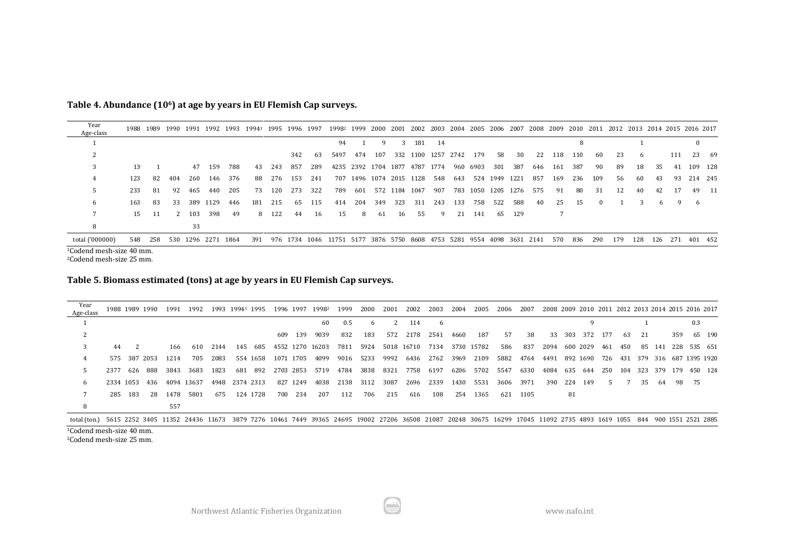| Table 4. Abundance (10 <sup>6</sup> ) at age by years in EU Flemish Cap surveys. |  |  |  |  |  |
|----------------------------------------------------------------------------------|--|--|--|--|--|
|----------------------------------------------------------------------------------|--|--|--|--|--|

| Year<br>Age-class |     |         |     |       |                    |     |     |        |     |        | 1988 1989 1990 1991 1992 1993 1994 <sup>1</sup> 1995 1996 1997 1998 <sup>2</sup> 1999 2000 2001 2002 2003 2004 2005 2006 2007 2008 2009 2010 2011 2012 2013 2014 2015 2016 2017 |     |     |                         |     |                               |     |          |                    |     |     |      |     |          |     |     |    |         |            |         |
|-------------------|-----|---------|-----|-------|--------------------|-----|-----|--------|-----|--------|---------------------------------------------------------------------------------------------------------------------------------------------------------------------------------|-----|-----|-------------------------|-----|-------------------------------|-----|----------|--------------------|-----|-----|------|-----|----------|-----|-----|----|---------|------------|---------|
|                   |     |         |     |       |                    |     |     |        |     |        | 94                                                                                                                                                                              |     | 9.  |                         | 181 | - 14                          |     |          |                    |     |     |      |     |          |     |     |    |         | $\Omega$   |         |
|                   |     |         |     |       |                    |     |     |        | 342 | -63    | 5497                                                                                                                                                                            | 474 | 107 |                         |     | 332 1100 1257 2742            |     | 179      | 58                 | -30 | 22  | 118  | 110 | - 60     | 23  | - 6 |    | 111     |            | 23 69   |
| 3                 | 13  |         |     |       | 47 159             | 788 | 43  | 243    | 857 | 289    |                                                                                                                                                                                 |     |     |                         |     | 4235 2392 1704 1877 4787 1774 |     | 960 6903 | 301                | 387 | 646 | -161 | 387 | 90       | 89  | 18  | 35 | 41      |            | 109 128 |
| 4                 | 123 | 82      | 404 | 260   | - 146              | 376 |     | 88 276 | 153 | 241    |                                                                                                                                                                                 |     |     | 707 1496 1074 2015 1128 |     | 548                           | 643 |          | 524 1949 1221      |     | 857 | 169  | 236 | 109      | -56 | -60 | 43 |         | 93 214 245 |         |
| .5                | 233 | -81     | 92  | 465   | 440                | 205 | 73  | 120    | 273 | 322    | 789                                                                                                                                                                             | 601 |     | 572 1184 1047           |     | 907                           |     |          | 783 1050 1205 1276 |     | 575 | 91   | 80  | 31       | 12  | 40  | 42 | -17     |            | 49 11   |
| 6                 | 163 | -83     | 33  |       | 389 1129           | 446 | 181 | 215    |     | 65 115 | 414                                                                                                                                                                             | 204 | 349 | 323                     | 311 | 243                           | 133 | 758      | 522                | 588 | 40  | 25   | 15  | $\Omega$ |     | -3. | 6  | -9      | - 6        |         |
|                   |     | 15 11   |     | 2 103 | 398                | 49  |     | 8 122  | 44  | - 16   | 15                                                                                                                                                                              | 8   | 61  | - 16                    | 55  | - 9                           | 21  | -141     | -65                | 129 |     |      |     |          |     |     |    |         |            |         |
| 8                 |     |         |     | 33    |                    |     |     |        |     |        |                                                                                                                                                                                 |     |     |                         |     |                               |     |          |                    |     |     |      |     |          |     |     |    |         |            |         |
| total ('000000)   |     | 548 258 |     |       | 530 1296 2271 1864 |     |     |        |     |        | 391 976 1734 1046 11751 5177 3876 5750 8608 4753 5281 9554 4098 3631 2141                                                                                                       |     |     |                         |     |                               |     |          |                    |     |     | 570  | 836 | 290      | 179 | 128 |    | 126 271 |            | 401 452 |

Codend mesh-size 40 mm.

Codend mesh-size 25 mm.

# **Table 5. Biomass estimated (tons) at age by years in EU Flemish Cap surveys.**

| Year<br>Age-class                                                                                                                                                               |      |           | 1988 1989 1990 | 1991 | 1992       |                |     | 1993 19941 1995 |           |           | 1996 1997 19982 | 1999 | 2000 | 2001 | 2002       | 2003 | 2004      | 2005       | 2006      | 2007 |      |         |              |         |     |      |        |     | 2008 2009 2010 2011 2012 2013 2014 2015 2016 2017 |  |
|---------------------------------------------------------------------------------------------------------------------------------------------------------------------------------|------|-----------|----------------|------|------------|----------------|-----|-----------------|-----------|-----------|-----------------|------|------|------|------------|------|-----------|------------|-----------|------|------|---------|--------------|---------|-----|------|--------|-----|---------------------------------------------------|--|
|                                                                                                                                                                                 |      |           |                |      |            |                |     |                 |           |           | 60              | 0.5  | 6    |      | 114        | -6   |           |            |           |      |      |         |              |         |     |      |        |     | 0.3                                               |  |
|                                                                                                                                                                                 |      |           |                |      |            |                |     |                 |           | 609 139   | 9039            | 832  | 183  | 572  | 2178       | 2541 | 4660      | 187        | .57       | 38   | 33   | 303     |              | 372 177 | 63  | 21   |        | 359 | 65 190                                            |  |
|                                                                                                                                                                                 | 44   |           |                | 166  | -610       | 2144           | 145 | 685             |           |           | 4552 1270 16203 | 7811 | 5924 |      | 5018 16710 | 7134 |           | 3730 15782 | 586       | 837  | 2094 |         | 600 2029 461 |         | 450 |      | 85 141 |     | 228 535 651                                       |  |
|                                                                                                                                                                                 | 575  |           | 387 2053       | 1214 | 705        | 2083           |     | 554 1658        |           | 1071 1705 | 4099            | 9016 | 5233 | 9992 | 6436       |      | 2762 3969 | 2109       | 5882      | 4764 | 4491 |         |              |         |     |      |        |     | 892 1690 726 431 379 316 687 1395 1920            |  |
|                                                                                                                                                                                 | 2377 | 626       | -888           | 3843 | 3683       | 1823           | 681 | 892             | 2703 2853 |           | 5719            | 4784 | 3838 | 8321 | 7758       | 6197 | 6206      |            | 5702 5547 | 6330 | 4084 | 635     | 644          | 250     | 104 | 323  | 379    | 179 | 450 124                                           |  |
| <sub>b</sub>                                                                                                                                                                    |      | 2334 1053 | -436           |      | 4094 13637 | 4948 2374 2313 |     |                 |           | 827 1249  | 4038            | 2138 | 3112 | 3087 | 2696       | 2339 | 1430      | 5531       | 3606      | 3971 | 390  | 224 149 |              | 5       |     | -35- | - 64   |     | 98 75                                             |  |
|                                                                                                                                                                                 | 285  | - 183     | -28            | 1478 | 5801       | 675            |     | 124 1728        |           | 700 234   | 207             | 112  | 706  | 215  | 616        | 108  | 254       | 1365       | 621       | 1105 |      | 81      |              |         |     |      |        |     |                                                   |  |
|                                                                                                                                                                                 |      |           |                | 557  |            |                |     |                 |           |           |                 |      |      |      |            |      |           |            |           |      |      |         |              |         |     |      |        |     |                                                   |  |
| total (ton.) 5615 2252 3405 11352 24436 11673 3879 7276 10461 7449 39365 24695 19002 27206 36508 21087 20248 30675 16299 17045 11092 2735 4893 1619 1055 844 900 1551 2521 2885 |      |           |                |      |            |                |     |                 |           |           |                 |      |      |      |            |      |           |            |           |      |      |         |              |         |     |      |        |     |                                                   |  |

Codend mesh-size 40 mm.

Codend mesh-size 25 mm.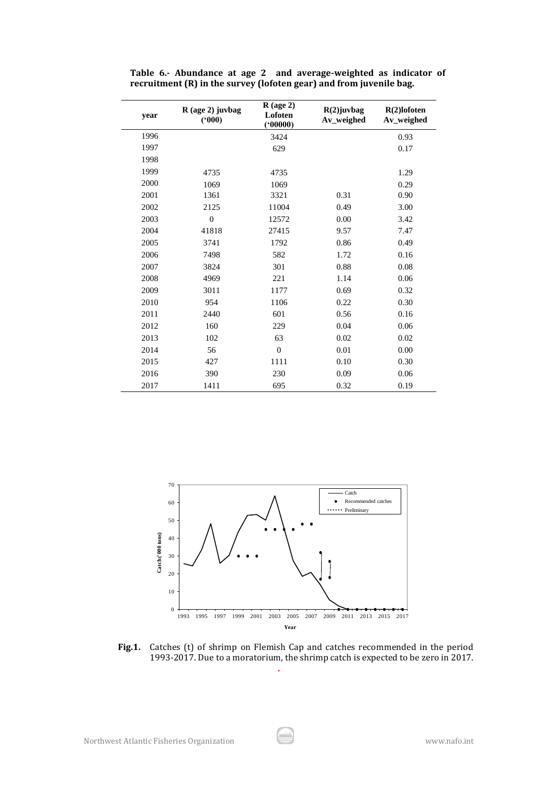| year | R (age 2) juvbag<br>(900) | $R$ (age 2)<br>Lofoten<br>(00000) | $R(2)$ lofoten<br>Av_weighed |      |
|------|---------------------------|-----------------------------------|------------------------------|------|
| 1996 |                           | 3424                              |                              | 0.93 |
| 1997 |                           | 629                               |                              | 0.17 |
| 1998 |                           |                                   |                              |      |
| 1999 | 4735                      | 4735                              |                              | 1.29 |
| 2000 | 1069                      | 1069                              |                              | 0.29 |
| 2001 | 1361                      | 3321                              | 0.31                         | 0.90 |
| 2002 | 2125                      | 11004                             | 0.49                         | 3.00 |
| 2003 | $\overline{0}$            | 12572                             | 0.00                         | 3.42 |
| 2004 | 41818                     | 27415                             | 9.57                         | 7.47 |
| 2005 | 3741                      | 1792                              | 0.86                         | 0.49 |
| 2006 | 7498                      | 582                               | 1.72                         | 0.16 |
| 2007 | 3824                      | 301                               | 0.88                         | 0.08 |
| 2008 | 4969                      | 221                               | 1.14                         | 0.06 |
| 2009 | 3011                      | 1177                              | 0.69                         | 0.32 |
| 2010 | 954                       | 1106                              | 0.22                         | 0.30 |
| 2011 | 2440                      | 601                               | 0.56                         | 0.16 |
| 2012 | 160                       | 229                               | 0.04                         | 0.06 |
| 2013 | 102                       | 63                                | 0.02                         | 0.02 |
| 2014 | 56                        | $\overline{0}$                    | 0.01                         | 0.00 |
| 2015 | 427                       | 1111                              | 0.10                         | 0.30 |
| 2016 | 390                       | 230                               | 0.09                         | 0.06 |
| 2017 | 1411                      | 695                               | 0.32                         | 0.19 |

**Table 6.- Abundance at age 2 and average-weighted as indicator of recruitment (R) in the survey (lofoten gear) and from juvenile bag.**



**Fig.1.** Catches (t) of shrimp on Flemish Cap and catches recommended in the period 1993-2017. Due to a moratorium, the shrimp catch is expected to be zero in 2017.

**.**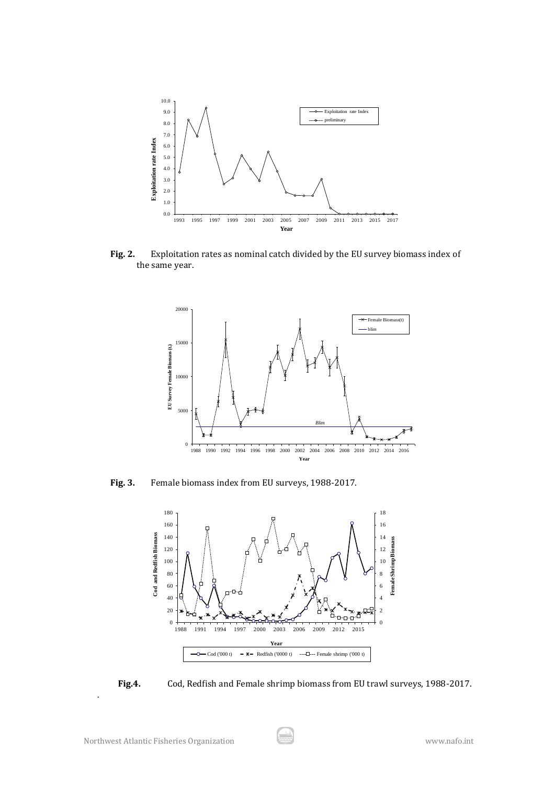

**Fig. 2.** Exploitation rates as nominal catch divided by the EU survey biomass index of the same year.



**Fig. 3.** Female biomass index from EU surveys, 1988-2017.



**Fig.4.** Cod, Redfish and Female shrimp biomass from EU trawl surveys, 1988-2017.

.